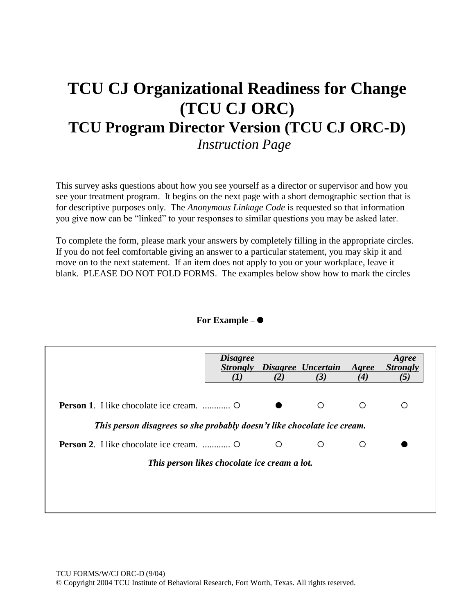## **TCU CJ Organizational Readiness for Change (TCU CJ ORC) TCU Program Director Version (TCU CJ ORC-D)** *Instruction Page*

This survey asks questions about how you see yourself as a director or supervisor and how you see your treatment program. It begins on the next page with a short demographic section that is for descriptive purposes only. The *Anonymous Linkage Code* is requested so that information you give now can be "linked" to your responses to similar questions you may be asked later.

To complete the form, please mark your answers by completely filling in the appropriate circles. If you do not feel comfortable giving an answer to a particular statement, you may skip it and move on to the next statement. If an item does not apply to you or your workplace, leave it blank. PLEASE DO NOT FOLD FORMS. The examples below show how to mark the circles –

|                                                                         | <i>Disagree</i> | (2) | <b>Strongly Disagree Uncertain</b><br>(3) | Agree<br>$\boldsymbol{(4)}$ | Agree<br><b>Strongly</b><br>(5) |
|-------------------------------------------------------------------------|-----------------|-----|-------------------------------------------|-----------------------------|---------------------------------|
|                                                                         |                 |     | ∩                                         | ∩                           | O                               |
| This person disagrees so she probably doesn't like chocolate ice cream. |                 |     |                                           |                             |                                 |
|                                                                         |                 | O   | ∩                                         | O                           |                                 |
| This person likes chocolate ice cream a lot.                            |                 |     |                                           |                             |                                 |
|                                                                         |                 |     |                                           |                             |                                 |
|                                                                         |                 |     |                                           |                             |                                 |

**For Example** –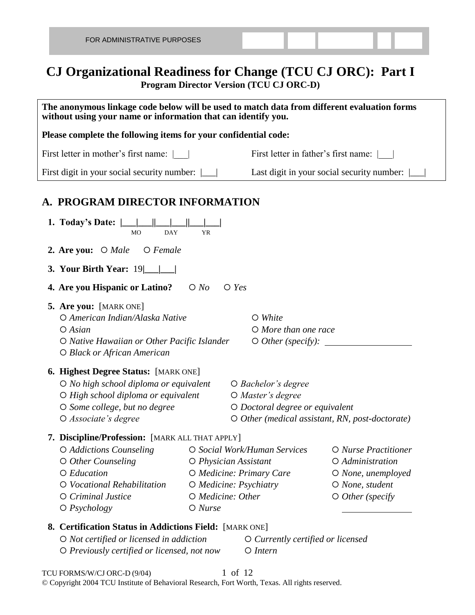## **CJ Organizational Readiness for Change (TCU CJ ORC): Part I Program Director Version (TCU CJ ORC-D)**

| The anonymous linkage code below will be used to match data from different evaluation forms<br>without using your name or information that can identify you.                                        |                                                                                                               |                                                                                      |                                                                                                               |  |  |  |
|-----------------------------------------------------------------------------------------------------------------------------------------------------------------------------------------------------|---------------------------------------------------------------------------------------------------------------|--------------------------------------------------------------------------------------|---------------------------------------------------------------------------------------------------------------|--|--|--|
| Please complete the following items for your confidential code:                                                                                                                                     |                                                                                                               |                                                                                      |                                                                                                               |  |  |  |
| First letter in mother's first name:                                                                                                                                                                |                                                                                                               | First letter in father's first name:                                                 |                                                                                                               |  |  |  |
| First digit in your social security number:                                                                                                                                                         |                                                                                                               |                                                                                      | Last digit in your social security number:                                                                    |  |  |  |
| A. PROGRAM DIRECTOR INFORMATION                                                                                                                                                                     |                                                                                                               |                                                                                      |                                                                                                               |  |  |  |
| 1. Today's Date: $\  \_\_ \  \_\_ \ $<br><b>DAY</b><br><b>MO</b><br><b>YR</b>                                                                                                                       |                                                                                                               |                                                                                      |                                                                                                               |  |  |  |
| <b>2. Are you:</b> $\bigcirc$ <i>Male</i> $\bigcirc$ <i>Female</i>                                                                                                                                  |                                                                                                               |                                                                                      |                                                                                                               |  |  |  |
| <b>3. Your Birth Year:</b> 19                                                                                                                                                                       |                                                                                                               |                                                                                      |                                                                                                               |  |  |  |
| 4. Are you Hispanic or Latino?                                                                                                                                                                      | $\bigcirc$ Yes<br>$\bigcirc$ No                                                                               |                                                                                      |                                                                                                               |  |  |  |
| 5. Are you: [MARK ONE]<br>O American Indian/Alaska Native<br>$O$ Asian<br>O Native Hawaiian or Other Pacific Islander<br>O Black or African American                                                |                                                                                                               | $\circ$ White<br>$O$ More than one race<br>$\circ$ Other (specify): $\_\_$           |                                                                                                               |  |  |  |
| <b>6. Highest Degree Status:</b> [MARK ONE]<br>O No high school diploma or equivalent<br>O High school diploma or equivalent<br>O Some college, but no degree<br>O Associate's degree               |                                                                                                               | $\bigcirc$ Bachelor's degree<br>O Master's degree<br>O Doctoral degree or equivalent | O Other (medical assistant, RN, post-doctorate)                                                               |  |  |  |
| 7. Discipline/Profession: [MARK ALL THAT APPLY]<br>O Addictions Counseling<br>$\circ$ Other Counseling<br>O Education<br>O Vocational Rehabilitation<br>O Criminal Justice<br>$\bigcirc$ Psychology | O Physician Assistant<br>O Medicine: Primary Care<br>O Medicine: Psychiatry<br>O Medicine: Other<br>$O$ Nurse | O Social Work/Human Services                                                         | O Nurse Practitioner<br>O Administration<br>$O$ None, unemployed<br>O None, student<br>$\circ$ Other (specify |  |  |  |
| 8. Certification Status in Addictions Field: [MARK ONE]<br>O Not certified or licensed in addiction<br>O Previously certified or licensed, not now                                                  |                                                                                                               | $\circ$ Currently certified or licensed<br>$O$ Intern                                |                                                                                                               |  |  |  |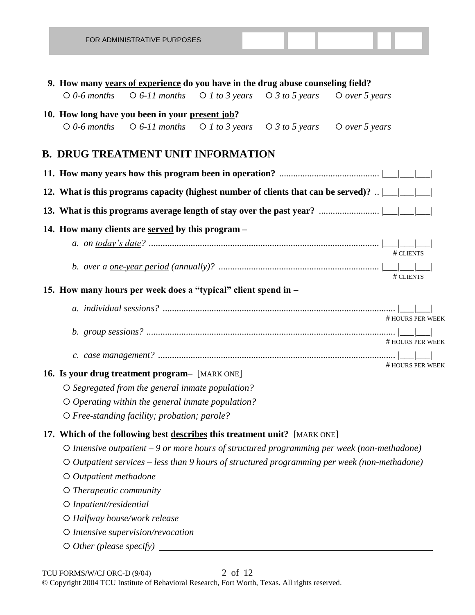|                           | 9. How many years of experience do you have in the drug abuse counseling field?                                      |  |                                                                                                                                                                                                                                                                                                                                              |
|---------------------------|----------------------------------------------------------------------------------------------------------------------|--|----------------------------------------------------------------------------------------------------------------------------------------------------------------------------------------------------------------------------------------------------------------------------------------------------------------------------------------------|
| $\circ$ 0-6 months        | $\bigcirc$ 6-11 months $\bigcirc$ 1 to 3 years $\bigcirc$ 3 to 5 years                                               |  | $O$ over 5 years                                                                                                                                                                                                                                                                                                                             |
|                           | 10. How long have you been in your present job?                                                                      |  |                                                                                                                                                                                                                                                                                                                                              |
|                           | $\bigcirc$ 0-6 months $\bigcirc$ 6-11 months $\bigcirc$ 1 to 3 years $\bigcirc$ 3 to 5 years $\bigcirc$ over 5 years |  |                                                                                                                                                                                                                                                                                                                                              |
|                           |                                                                                                                      |  |                                                                                                                                                                                                                                                                                                                                              |
|                           | <b>B. DRUG TREATMENT UNIT INFORMATION</b>                                                                            |  |                                                                                                                                                                                                                                                                                                                                              |
|                           |                                                                                                                      |  |                                                                                                                                                                                                                                                                                                                                              |
|                           |                                                                                                                      |  | 12. What is this programs capacity (highest number of clients that can be served)? $\frac{1}{1-\frac{1}{1-\frac{1}{1-\frac{1}{1-\frac{1}{1-\frac{1}{1-\frac{1}{1-\frac{1}{1-\frac{1}{1-\frac{1}{1-\frac{1}{1-\frac{1}{1-\frac{1}{1-\frac{1}{1-\frac{1}{1-\frac{1}{1-\frac{1}{1-\frac{1}{1-\frac{1}{1-\frac{1}{1-\frac{1}{1-\frac{1}{1-\frac$ |
|                           |                                                                                                                      |  |                                                                                                                                                                                                                                                                                                                                              |
|                           | 14. How many clients are served by this program -                                                                    |  |                                                                                                                                                                                                                                                                                                                                              |
|                           |                                                                                                                      |  |                                                                                                                                                                                                                                                                                                                                              |
|                           |                                                                                                                      |  |                                                                                                                                                                                                                                                                                                                                              |
|                           |                                                                                                                      |  |                                                                                                                                                                                                                                                                                                                                              |
|                           |                                                                                                                      |  | # CLIENTS                                                                                                                                                                                                                                                                                                                                    |
|                           | 15. How many hours per week does a "typical" client spend in -                                                       |  |                                                                                                                                                                                                                                                                                                                                              |
|                           |                                                                                                                      |  |                                                                                                                                                                                                                                                                                                                                              |
|                           |                                                                                                                      |  | # HOURS PER WEEK                                                                                                                                                                                                                                                                                                                             |
|                           |                                                                                                                      |  | # HOURS PER WEEK                                                                                                                                                                                                                                                                                                                             |
|                           |                                                                                                                      |  |                                                                                                                                                                                                                                                                                                                                              |
|                           |                                                                                                                      |  | # HOURS PER WEEK                                                                                                                                                                                                                                                                                                                             |
|                           | 16. Is your drug treatment program- [MARK ONE]                                                                       |  |                                                                                                                                                                                                                                                                                                                                              |
|                           | O Segregated from the general inmate population?                                                                     |  |                                                                                                                                                                                                                                                                                                                                              |
|                           | $\circ$ Operating within the general inmate population?                                                              |  |                                                                                                                                                                                                                                                                                                                                              |
|                           | O Free-standing facility; probation; parole?                                                                         |  |                                                                                                                                                                                                                                                                                                                                              |
|                           | 17. Which of the following best describes this treatment unit? [MARK ONE]                                            |  |                                                                                                                                                                                                                                                                                                                                              |
|                           |                                                                                                                      |  | O Intensive outpatient - 9 or more hours of structured programming per week (non-methadone)                                                                                                                                                                                                                                                  |
|                           |                                                                                                                      |  | $\circ$ Outpatient services – less than 9 hours of structured programming per week (non-methadone)                                                                                                                                                                                                                                           |
| O Outpatient methadone    |                                                                                                                      |  |                                                                                                                                                                                                                                                                                                                                              |
| $O$ Therapeutic community |                                                                                                                      |  |                                                                                                                                                                                                                                                                                                                                              |
| O Inpatient/residential   |                                                                                                                      |  |                                                                                                                                                                                                                                                                                                                                              |
|                           | O Halfway house/work release                                                                                         |  |                                                                                                                                                                                                                                                                                                                                              |
|                           | O Intensive supervision/revocation                                                                                   |  |                                                                                                                                                                                                                                                                                                                                              |
|                           |                                                                                                                      |  |                                                                                                                                                                                                                                                                                                                                              |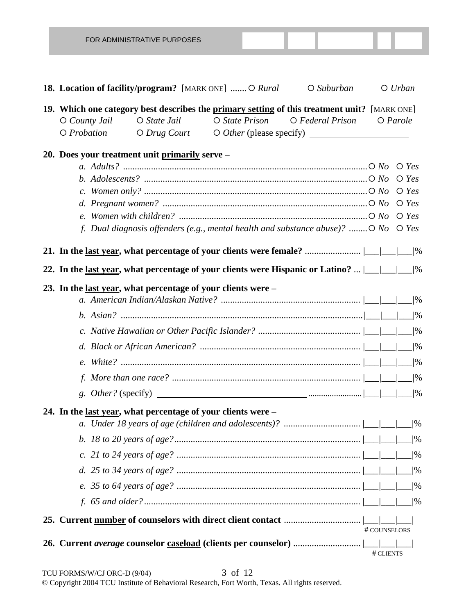| FOR ADMINISTRATIVE PURPOSES                                                                                                                                                                                                                                        |              |                |
|--------------------------------------------------------------------------------------------------------------------------------------------------------------------------------------------------------------------------------------------------------------------|--------------|----------------|
|                                                                                                                                                                                                                                                                    |              |                |
| <b>18. Location of facility/program?</b> [MARK ONE]  O Rural<br>$O$ Suburban                                                                                                                                                                                       |              | $O$ Urban      |
| 19. Which one category best describes the primary setting of this treatment unit? [MARK ONE]                                                                                                                                                                       |              |                |
| $O State$ Jail<br>$O$ State Prison<br>O Federal Prison<br>$O$ County Jail                                                                                                                                                                                          |              | $O$ Parole     |
| $\bigcirc$ Probation<br>$O$ Drug Court                                                                                                                                                                                                                             |              |                |
| 20. Does your treatment unit primarily serve -                                                                                                                                                                                                                     |              |                |
|                                                                                                                                                                                                                                                                    |              |                |
| b. Adolescents? $\ldots$ $\ldots$ $\ldots$ $\ldots$ $\ldots$ $\ldots$ $\ldots$ $\ldots$ $\ldots$ $\ldots$ $\ldots$ $\ldots$ $\ldots$ $\ldots$ $\ldots$ $\ldots$ $\ldots$ $\ldots$ $\ldots$ $\ldots$ $\ldots$ $\ldots$ $\ldots$ $\ldots$ $\ldots$ $\ldots$ $\ldots$ |              |                |
|                                                                                                                                                                                                                                                                    |              |                |
|                                                                                                                                                                                                                                                                    |              |                |
| f. Dual diagnosis offenders (e.g., mental health and substance abuse)? $O$ No $O$ Yes                                                                                                                                                                              |              |                |
|                                                                                                                                                                                                                                                                    |              |                |
|                                                                                                                                                                                                                                                                    |              |                |
| 22. In the <u>last year</u> , what percentage of your clients were Hispanic or Latino?  /<br>22. In the <u>last year</u> , what percentage of your clients were Hispanic or Latino?  /<br>20.                                                                      |              |                |
| 23. In the <u>last year</u> , what percentage of your clients were –                                                                                                                                                                                               |              |                |
|                                                                                                                                                                                                                                                                    |              |                |
|                                                                                                                                                                                                                                                                    |              |                |
|                                                                                                                                                                                                                                                                    |              |                |
|                                                                                                                                                                                                                                                                    |              |                |
|                                                                                                                                                                                                                                                                    |              | $/$ %          |
|                                                                                                                                                                                                                                                                    |              | $1\frac{9}{6}$ |
|                                                                                                                                                                                                                                                                    |              |                |
| 24. In the <u>last year</u> , what percentage of your clients were –                                                                                                                                                                                               |              |                |
|                                                                                                                                                                                                                                                                    |              |                |
|                                                                                                                                                                                                                                                                    |              |                |
|                                                                                                                                                                                                                                                                    |              |                |
|                                                                                                                                                                                                                                                                    |              |                |
|                                                                                                                                                                                                                                                                    |              |                |
|                                                                                                                                                                                                                                                                    |              |                |
|                                                                                                                                                                                                                                                                    |              |                |
|                                                                                                                                                                                                                                                                    | # COUNSELORS |                |
|                                                                                                                                                                                                                                                                    |              |                |
|                                                                                                                                                                                                                                                                    | # CLIENTS    |                |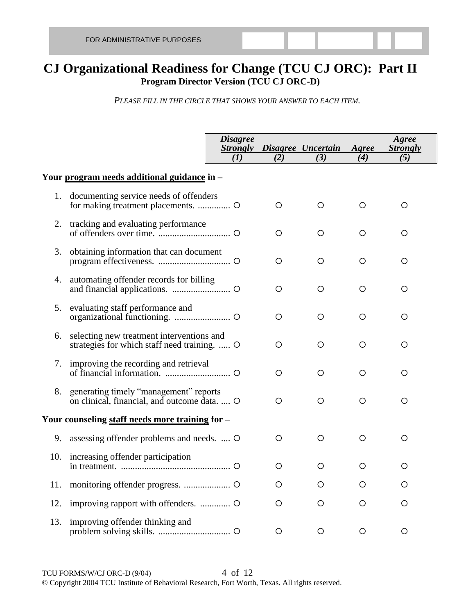## **CJ Organizational Readiness for Change (TCU CJ ORC): Part II Program Director Version (TCU CJ ORC-D)**

*PLEASE FILL IN THE CIRCLE THAT SHOWS YOUR ANSWER TO EACH ITEM.*

|     |                                                                                           | <b>Disagree</b><br>(I) | (2) | <b>Strongly Disagree Uncertain</b><br>(3) | Agree<br>(4) | Agree<br><b>Strongly</b><br>(5) |  |
|-----|-------------------------------------------------------------------------------------------|------------------------|-----|-------------------------------------------|--------------|---------------------------------|--|
|     | Your program needs additional guidance in -                                               |                        |     |                                           |              |                                 |  |
| 1.  | documenting service needs of offenders                                                    |                        | O   | O                                         | O            | $\circ$                         |  |
| 2.  | tracking and evaluating performance                                                       |                        | O   | O                                         | $\circ$      | $\circ$                         |  |
| 3.  | obtaining information that can document                                                   |                        | O   | O                                         | O            | O                               |  |
| 4.  | automating offender records for billing                                                   |                        | O   | O                                         | $\circ$      | $\circ$                         |  |
| 5.  | evaluating staff performance and                                                          |                        | O   | O                                         | O            | O                               |  |
| 6.  | selecting new treatment interventions and<br>strategies for which staff need training.  O |                        | O   | O                                         | O            | $\circ$                         |  |
|     | 7. improving the recording and retrieval                                                  |                        | O   | O                                         | O            | $\circ$                         |  |
| 8.  | generating timely "management" reports<br>on clinical, financial, and outcome data.  O    |                        | O   | O                                         | $\circ$      | $\circ$                         |  |
|     | Your counseling staff needs more training for -                                           |                        |     |                                           |              |                                 |  |
| 9.  | assessing offender problems and needs.  O                                                 |                        | O   | O                                         | O            | O                               |  |
|     | 10. increasing offender participation                                                     |                        | O   | O                                         | О            | O                               |  |
| 11. |                                                                                           |                        | O   | Ο                                         | O            | $\circ$                         |  |
| 12. |                                                                                           |                        | O   | O                                         | O            | O                               |  |
| 13. | improving offender thinking and                                                           |                        | O   | O                                         | O            | $\circ$                         |  |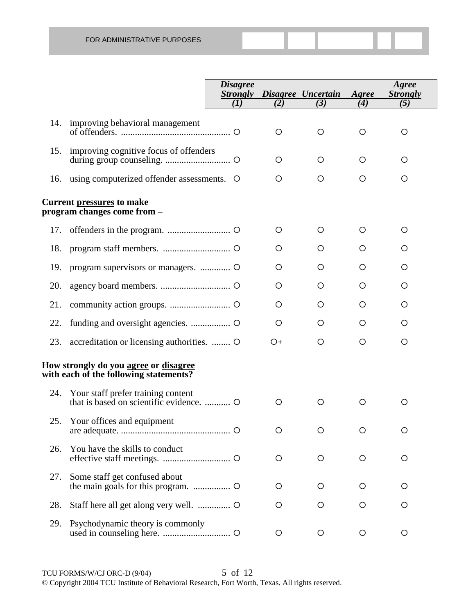|     |                                                                                               | <i><b>Disagree</b></i><br><b>Strongly</b> |         | Disagree Uncertain | Agree   | Agree<br><b>Strongly</b> |
|-----|-----------------------------------------------------------------------------------------------|-------------------------------------------|---------|--------------------|---------|--------------------------|
|     |                                                                                               | (1)                                       | (2)     | (3)                | (4)     | (5)                      |
| 14. | improving behavioral management                                                               |                                           | $\circ$ | $\circ$            | $\circ$ | $\circ$                  |
| 15. | improving cognitive focus of offenders                                                        |                                           | $\circ$ | $\circ$            | $\circ$ | $\circ$                  |
| 16. | using computerized offender assessments. O                                                    |                                           | $\circ$ | $\circ$            | $\circ$ | $\circ$                  |
|     | <b>Current pressures to make</b><br>program changes come from –                               |                                           |         |                    |         |                          |
| 17. |                                                                                               |                                           | $\circ$ | $\circ$            | $\circ$ | $\circ$                  |
| 18. |                                                                                               |                                           | O       | O                  | O       | O                        |
| 19. | program supervisors or managers.  O                                                           |                                           | O       | O                  | O       | O                        |
| 20. |                                                                                               |                                           | O       | $\circ$            | O       | O                        |
| 21. |                                                                                               |                                           | O       | $\circ$            | O       | O                        |
| 22. |                                                                                               |                                           | O       | O                  | O       | O                        |
| 23. | accreditation or licensing authorities.  O                                                    |                                           | O+      | $\circ$            | O       | O                        |
|     | How strongly do you <u>agree</u> or <u>disagree</u><br>with each of the following statements? |                                           |         |                    |         |                          |
| 24. | Your staff prefer training content                                                            |                                           | O       | $\circ$            | $\circ$ | O                        |
| 25. | Your offices and equipment                                                                    |                                           | O       | $\circ$            | $\circ$ | O                        |
| 26. | You have the skills to conduct                                                                |                                           | O       | $\circ$            | $\circ$ | O                        |
| 27. | Some staff get confused about                                                                 |                                           | O       | O                  | O       | O                        |
| 28. |                                                                                               |                                           | O       | $\circ$            | O       | O                        |
| 29. | Psychodynamic theory is commonly                                                              |                                           | $\circ$ | $\circ$            | O       | $\circ$                  |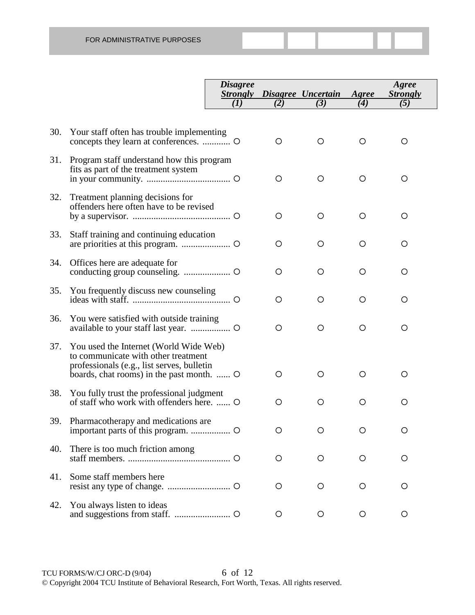|     |                                                                                                                                                                          | <i><b>Disagree</b></i><br><b>Strongly</b> |         | Disagree Uncertain | Agree | Agree<br><b>Strongly</b> |
|-----|--------------------------------------------------------------------------------------------------------------------------------------------------------------------------|-------------------------------------------|---------|--------------------|-------|--------------------------|
|     |                                                                                                                                                                          | (I)                                       | (2)     | (3)                | (4)   | (5)                      |
| 30. | Your staff often has trouble implementing                                                                                                                                |                                           | O       | O                  | O     | O                        |
| 31. | Program staff understand how this program<br>fits as part of the treatment system                                                                                        |                                           | O       | $\circ$            | O     | O                        |
| 32. | Treatment planning decisions for<br>offenders here often have to be revised                                                                                              |                                           | O       | O                  | O     | O                        |
| 33. | Staff training and continuing education                                                                                                                                  |                                           | O       | O                  | O     | O                        |
| 34. | Offices here are adequate for                                                                                                                                            |                                           | O       | O                  | O     | O                        |
| 35. | You frequently discuss new counseling                                                                                                                                    |                                           | O       | O                  | O     | O                        |
| 36. | You were satisfied with outside training                                                                                                                                 |                                           | $\circ$ | O                  | O     | O                        |
| 37. | You used the Internet (World Wide Web)<br>to communicate with other treatment<br>professionals (e.g., list serves, bulletin<br>boards, chat rooms) in the past month.  O |                                           | O       | O                  | O     | O                        |
| 38. | You fully trust the professional judgment<br>of staff who work with offenders here.  O                                                                                   |                                           | O       | O                  | O     | O                        |
| 39. | Pharmacotherapy and medications are                                                                                                                                      |                                           | O       | O                  | O     | O                        |
| 40. | There is too much friction among                                                                                                                                         |                                           | O       | $\circ$            | O     | O                        |
| 41. | Some staff members here                                                                                                                                                  |                                           | O       | $\circ$            | O     | O                        |
| 42. | You always listen to ideas                                                                                                                                               |                                           | $\circ$ | O                  | O     | $\circ$                  |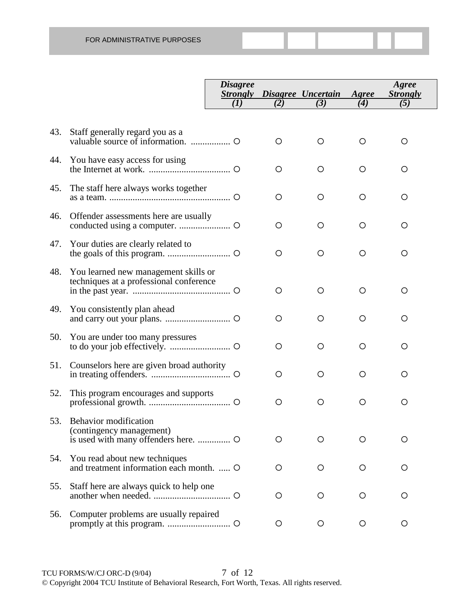|     |                                                                                 | <i>Disagree</i><br><b>Strongly</b><br>(I) | (2)     | Disagree Uncertain<br>(3) | Agree<br>(4) | Agree<br><b>Strongly</b><br>(5) |
|-----|---------------------------------------------------------------------------------|-------------------------------------------|---------|---------------------------|--------------|---------------------------------|
|     |                                                                                 |                                           |         |                           |              |                                 |
| 43. | Staff generally regard you as a                                                 |                                           | O       | $\circ$                   | O            | $\circ$                         |
| 44. | You have easy access for using                                                  |                                           | $\circ$ | $\circ$                   | O            | O                               |
| 45. | The staff here always works together                                            |                                           | $\circ$ | $\circ$                   | O            | O                               |
| 46. | Offender assessments here are usually                                           |                                           | $\circ$ | $\circ$                   | $\circ$      | O                               |
| 47. | Your duties are clearly related to                                              |                                           | $\circ$ | $\circ$                   | O            | O                               |
| 48. | You learned new management skills or<br>techniques at a professional conference |                                           | $\circ$ | $\circ$                   | O            | O                               |
| 49. | You consistently plan ahead                                                     |                                           | $\circ$ | $\circ$                   | O            | O                               |
| 50. | You are under too many pressures                                                |                                           | O       | O                         | O            | O                               |
| 51. | Counselors here are given broad authority                                       |                                           | O       | O                         | O            | O                               |
| 52. | This program encourages and supports                                            |                                           | $\circ$ | $\circ$                   | $\circ$      | $\circ$                         |
| 53. | Behavior modification<br>(contingency management)                               |                                           | O       | O                         | O            | Ο                               |
| 54. | You read about new techniques<br>and treatment information each month.  O       |                                           | $\circ$ | $\circ$                   | $\circ$      | O                               |
| 55. | Staff here are always quick to help one                                         |                                           | O       | O                         | O            | O                               |
| 56. | Computer problems are usually repaired                                          |                                           | O       | O                         | $\circ$      | $\circ$                         |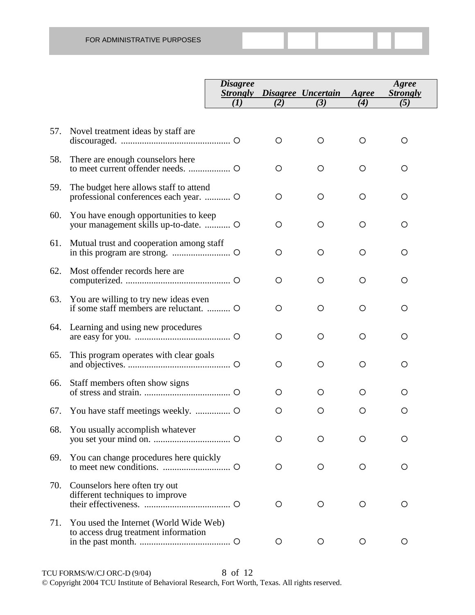|     |                                                                                  | <i>Disagree</i><br><b>Strongly</b> |         | Disagree Uncertain | Agree | Agree<br><b>Strongly</b> |
|-----|----------------------------------------------------------------------------------|------------------------------------|---------|--------------------|-------|--------------------------|
|     |                                                                                  | (I)                                | (2)     | (3)                | (4)   | (5)                      |
| 57. | Novel treatment ideas by staff are                                               |                                    | $\circ$ | O                  | O     | O                        |
| 58. | There are enough counselors here                                                 |                                    | $\circ$ | O                  | O     | O                        |
| 59. | The budget here allows staff to attend<br>professional conferences each year.  O |                                    | $\circ$ | O                  | O     | O                        |
| 60. | You have enough opportunities to keep                                            |                                    | $\circ$ | O                  | O     | O                        |
| 61. | Mutual trust and cooperation among staff                                         |                                    | $\circ$ | O                  | O     | O                        |
| 62. | Most offender records here are                                                   |                                    | O       | O                  | O     | O                        |
| 63. | You are willing to try new ideas even<br>if some staff members are reluctant.    |                                    | $\circ$ | O                  | O     | O                        |
| 64. | Learning and using new procedures                                                |                                    | $\circ$ | O                  | O     | O                        |
| 65. | This program operates with clear goals                                           |                                    | O       | $\circ$            | O     | O                        |
| 66. | Staff members often show signs                                                   |                                    | O       | O                  | O     | O                        |
| 67. |                                                                                  |                                    | O       | O                  | O     | O                        |
| 68. | You usually accomplish whatever                                                  |                                    | O       | ◯                  |       | O                        |
| 69. | You can change procedures here quickly                                           |                                    | O       | $\circ$            | O     | O                        |
| 70. | Counselors here often try out<br>different techniques to improve                 |                                    | O       | O                  | O     | O                        |
| 71. | You used the Internet (World Wide Web)<br>to access drug treatment information   |                                    | O       | O                  | O     | O                        |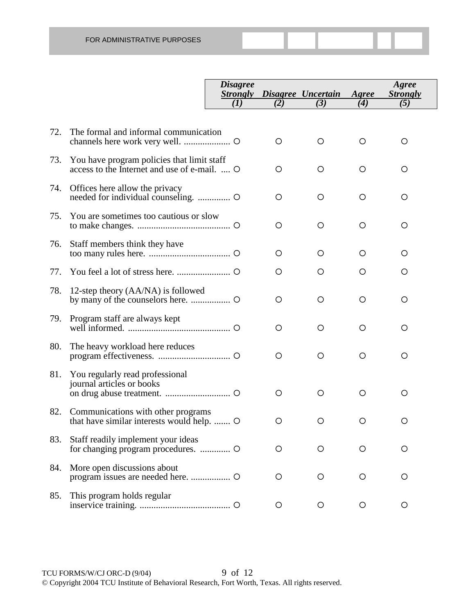|     |                                                                                            | <i>Disagree</i><br><b>Strongly</b><br>(I) | (2)     | Disagree Uncertain<br>(3) | Agree<br>$\bf(4)$ | Agree<br><b>Strongly</b><br>(5) |
|-----|--------------------------------------------------------------------------------------------|-------------------------------------------|---------|---------------------------|-------------------|---------------------------------|
|     |                                                                                            |                                           |         |                           |                   |                                 |
| 72. | The formal and informal communication                                                      |                                           | $\circ$ | $\circ$                   | $\circ$           | $\circ$                         |
| 73. | You have program policies that limit staff<br>access to the Internet and use of e-mail.  O |                                           | $\circ$ | $\circ$                   | $\circ$           | $\circ$                         |
| 74. | Offices here allow the privacy                                                             |                                           | $\circ$ | $\circ$                   | $\circ$           | O                               |
| 75. | You are sometimes too cautious or slow                                                     |                                           | $\circ$ | $\circ$                   | $\circ$           | $\circ$                         |
| 76. | Staff members think they have                                                              |                                           | O       | O                         | O                 | O                               |
| 77. |                                                                                            |                                           | $\circ$ | O                         | $\circ$           | O                               |
| 78. | 12-step theory (AA/NA) is followed                                                         |                                           | $\circ$ | $\circ$                   | $\circ$           | $\circ$                         |
| 79. | Program staff are always kept                                                              |                                           | $\circ$ | $\circ$                   | $\circ$           | $\circ$                         |
| 80. | The heavy workload here reduces                                                            |                                           | $\circ$ | $\circ$                   | $\circ$           | $\circ$                         |
| 81. | You regularly read professional<br>journal articles or books                               |                                           | $\circ$ | $\circ$                   | $\circ$           | $\circ$                         |
| 82. | Communications with other programs<br>that have similar interests would help.              |                                           | $\circ$ | $\circ$                   | $\circ$           | $\circ$                         |
| 83. | Staff readily implement your ideas                                                         |                                           | $\circ$ | $\circ$                   | O                 | O                               |
| 84. | More open discussions about                                                                |                                           | O       | O                         | O                 | O                               |
| 85. | This program holds regular                                                                 |                                           | O       | $\circ$                   | $\circ$           | O                               |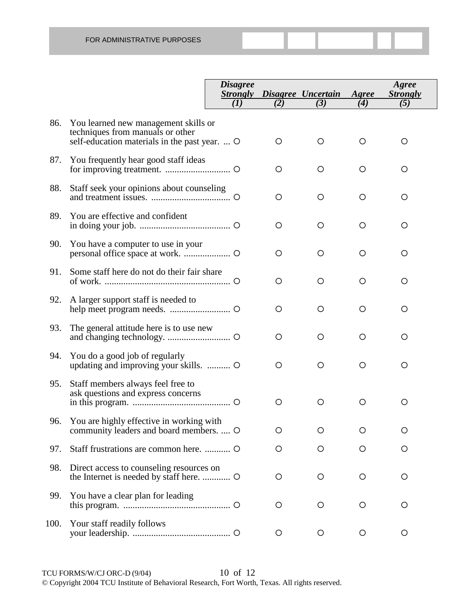|      |                                                                                                                           | <i>Disagree</i><br><b>Strongly</b> |     | Disagree Uncertain | Agree | Agree<br><b>Strongly</b> |
|------|---------------------------------------------------------------------------------------------------------------------------|------------------------------------|-----|--------------------|-------|--------------------------|
|      |                                                                                                                           | (I)                                | (2) | (3)                | (4)   | (5)                      |
| 86.  | You learned new management skills or<br>techniques from manuals or other<br>self-education materials in the past year.  O |                                    | O   | O                  | O     | $\circ$                  |
| 87.  | You frequently hear good staff ideas                                                                                      |                                    | O   | O                  | O     | O                        |
| 88.  | Staff seek your opinions about counseling                                                                                 |                                    | O   | O                  | O     | O                        |
| 89.  | You are effective and confident                                                                                           |                                    | O   | O                  | O     | O                        |
| 90.  | You have a computer to use in your                                                                                        |                                    | O   | O                  | O     | O                        |
| 91.  | Some staff here do not do their fair share                                                                                |                                    | O   | O                  | O     | O                        |
| 92.  | A larger support staff is needed to                                                                                       |                                    | O   | O                  | O     | O                        |
| 93.  | The general attitude here is to use new                                                                                   |                                    | O   | $\circ$            | O     | $\circ$                  |
| 94.  | You do a good job of regularly<br>updating and improving your skills.                                                     |                                    | O   | $\circ$            | O     | $\circ$                  |
| 95.  | Staff members always feel free to<br>ask questions and express concerns                                                   |                                    | O   | $\circ$            | O     | $\circ$                  |
| 96.  | You are highly effective in working with<br>community leaders and board members.  O                                       |                                    | O   | O                  | O     | O                        |
| 97.  |                                                                                                                           |                                    | O   | O                  | O     | O                        |
| 98.  | Direct access to counseling resources on<br>the Internet is needed by staff here.  O                                      |                                    | O   | O                  | O     | O                        |
| 99.  | You have a clear plan for leading                                                                                         |                                    | O   | O                  | O     | O                        |
| 100. | Your staff readily follows                                                                                                |                                    | O   | $\circ$            | O     | O                        |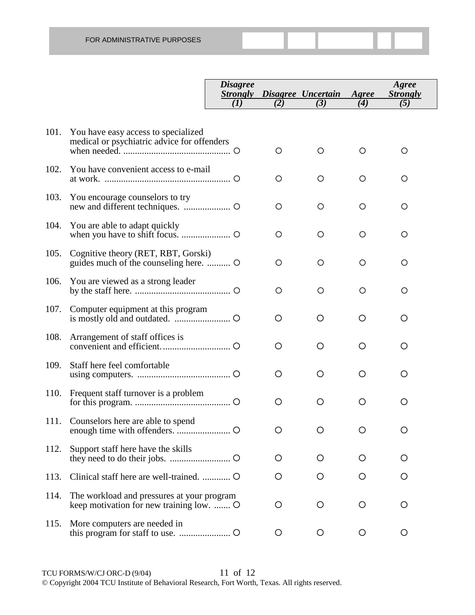|      |                                                                                     | <b>Disagree</b><br><i><b>Strongly</b></i> |         | Disagree Uncertain | Agree | Agree<br><b>Strongly</b> |
|------|-------------------------------------------------------------------------------------|-------------------------------------------|---------|--------------------|-------|--------------------------|
|      |                                                                                     | (I)                                       | (2)     | (3)                | (4)   | (5)                      |
| 101. | You have easy access to specialized<br>medical or psychiatric advice for offenders  |                                           | O       | O                  | O     | O                        |
| 102. | You have convenient access to e-mail                                                |                                           | O       | O                  | O     | O                        |
| 103. | You encourage counselors to try                                                     |                                           | O       | $\circ$            | O     | O                        |
| 104. | You are able to adapt quickly                                                       |                                           | $\circ$ | $\circ$            | O     | O                        |
| 105. | Cognitive theory (RET, RBT, Gorski)                                                 |                                           | $\circ$ | O                  | O     | O                        |
| 106. | You are viewed as a strong leader                                                   |                                           | O       | $\circ$            | O     | O                        |
| 107. | Computer equipment at this program                                                  |                                           | $\circ$ | O                  | O     | O                        |
| 108. | Arrangement of staff offices is                                                     |                                           | O       | O                  | O     | O                        |
| 109. | Staff here feel comfortable                                                         |                                           | O       | O                  | O     | O                        |
| 110. | Frequent staff turnover is a problem                                                |                                           | O       | O                  | O     | O                        |
|      | 111. Counselors here are able to spend                                              |                                           | O       | O                  | O     | $\circ$                  |
| 112. | Support staff here have the skills                                                  |                                           | Ő       | Ő                  | O     | O                        |
| 113. |                                                                                     |                                           | O       | O                  | O     | O                        |
| 114. | The workload and pressures at your program<br>keep motivation for new training low. |                                           | O       | O                  | O     | O                        |
| 115. | More computers are needed in                                                        |                                           | O       | O                  | O     | O                        |